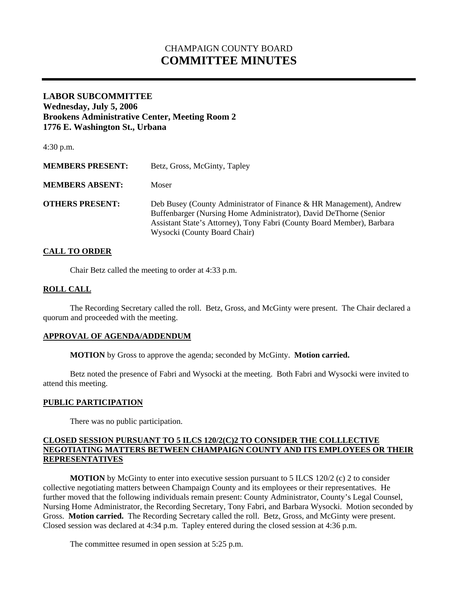# CHAMPAIGN COUNTY BOARD **COMMITTEE MINUTES**

# **LABOR SUBCOMMITTEE Wednesday, July 5, 2006 Brookens Administrative Center, Meeting Room 2 1776 E. Washington St., Urbana**

| $4:30$ p.m.             |                                                                                                                                                                                                                                                    |
|-------------------------|----------------------------------------------------------------------------------------------------------------------------------------------------------------------------------------------------------------------------------------------------|
| <b>MEMBERS PRESENT:</b> | Betz, Gross, McGinty, Tapley                                                                                                                                                                                                                       |
| <b>MEMBERS ABSENT:</b>  | Moser                                                                                                                                                                                                                                              |
| <b>OTHERS PRESENT:</b>  | Deb Busey (County Administrator of Finance & HR Management), Andrew<br>Buffenbarger (Nursing Home Administrator), David DeThorne (Senior<br>Assistant State's Attorney), Tony Fabri (County Board Member), Barbara<br>Wysocki (County Board Chair) |

# **CALL TO ORDER**

Chair Betz called the meeting to order at 4:33 p.m.

#### **ROLL CALL**

 The Recording Secretary called the roll. Betz, Gross, and McGinty were present. The Chair declared a quorum and proceeded with the meeting.

#### **APPROVAL OF AGENDA/ADDENDUM**

 **MOTION** by Gross to approve the agenda; seconded by McGinty. **Motion carried.** 

Betz noted the presence of Fabri and Wysocki at the meeting. Both Fabri and Wysocki were invited to attend this meeting.

#### **PUBLIC PARTICIPATION**

There was no public participation.

# **CLOSED SESSION PURSUANT TO 5 ILCS 120/2(C)2 TO CONSIDER THE COLLLECTIVE NEGOTIATING MATTERS BETWEEN CHAMPAIGN COUNTY AND ITS EMPLOYEES OR THEIR REPRESENTATIVES**

**MOTION** by McGinty to enter into executive session pursuant to 5 ILCS 120/2 (c) 2 to consider collective negotiating matters between Champaign County and its employees or their representatives. He further moved that the following individuals remain present: County Administrator, County's Legal Counsel, Nursing Home Administrator, the Recording Secretary, Tony Fabri, and Barbara Wysocki. Motion seconded by Gross. **Motion carried.** The Recording Secretary called the roll. Betz, Gross, and McGinty were present. Closed session was declared at 4:34 p.m. Tapley entered during the closed session at 4:36 p.m.

The committee resumed in open session at 5:25 p.m.